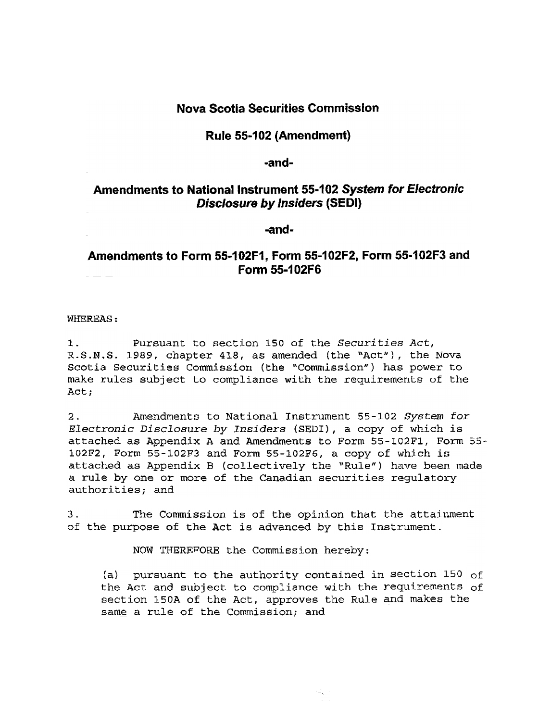## Nova Scotia Securities Commission

#### Rule 55-102 (Amendment)

#### ..and~

## Amendments to National Instrument 55-102 System for Electronic Disclosure by Insiders (SEDI)

-and-

# Amendments to Form 55-102F1, Form 55-102F2, Form 55-102F3 and Form 55-102F6

WHEREAS:

1. Pursuant to section 150 of the Securities Act, R.S.N.S. 1989, chapter 418, as amended (the "Act"), the Nova Scotia Securities Commission (the "Commission") has power to make rules subject to compliance with the requirements of the Act;

2. Amendments to National Instrument 55-102 System for Electronic Disclosure by Insiders (SEDI), a copy of which is attached as Appendix A and Amendments to Form 5S-102Fl, Form 55 attached as Appendix A and Amendments to form bo-roaft, r<br>100F2, Form 55-100F3 and Form 55-100F6, a copy of which is attached as Appendix B (collectively the "Rule") have been made actached as Appendix B (COITECTIVETY CHE "Rule") have be a rule by one or more of the Canadian securities regulatory authorities; and

3. The Commission is of the opinion that the attainment 3. The Commission is of the opinion that the attainment. of the purpose of the Act is advanced by this Instrument.

NOW THEREFORE the Commission hereby: NOW THEREFORE the Commission hereby:

 $(1)$  pursuant to the authority contained in section 150 of (a) pursuant to the authority contained in section 150 of the Act and subject to compliance with the requirements section 150A of the Act, approves the Rule and makes the same a rule of the Commission; and

机动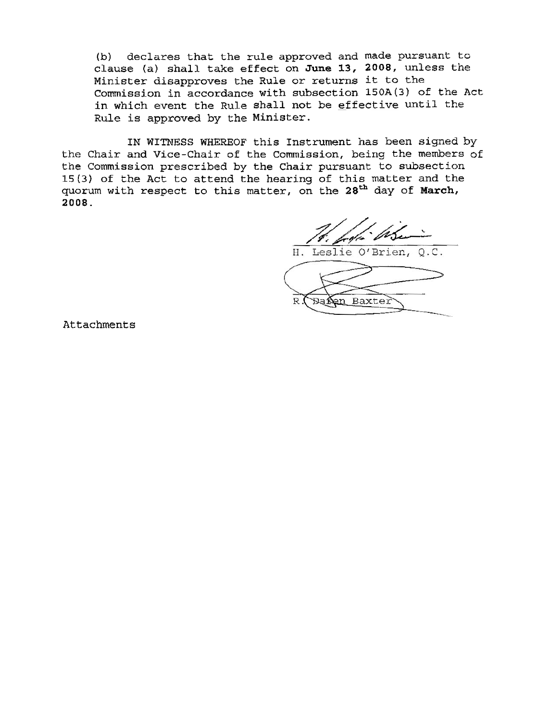(b) declares that the rule approved and made pursuant to clause (a) shall take effect on June 13, 2008, unless the Minister disapproves the Rule or returns it to th Commission in accordance with subsection 150A(3) of the Ac in which event the Rule shall not be effective until th Rule is approved by the Minist

IN WITNESS WHEREOF this Instrument has been signed by the Chair and Vice-Chair of the Commission, being the members of the Commission prescribed by the Chair pursuant to subsect. 15(3) of the Act to attend the hearing of this matter and the much matter of  $\mathbf{M}$ quorum with respect to this matter, on the 28<sup>th</sup> day of March, 2008.

H. Leslie O'Brien, O.C.

 $\mathbb{R}$ Baxter Ba Sen

**Attachments**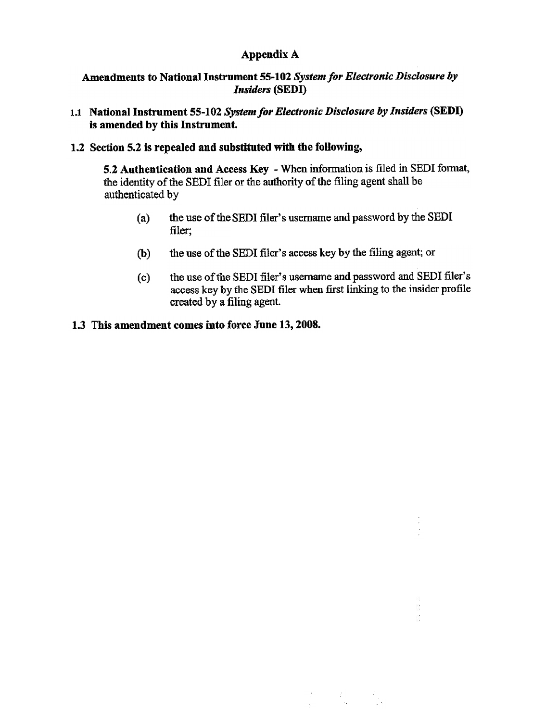# Appendix A

## Amendments to National Instrument 55-102 System for Electronic Disclosure by Insiders (SEDI)

1.1 National Instrument 55-102 System for Electronic Disclosure by Insiders (SEDI) is amended by this Instrument.

#### 1.2 Section 5.2 is repealed and substituted with the following,

5.2 Authentication and Access Key - When information is filed in SEDI format, the identity of the SED! filer or the authority of the filing agent shall be authenticated by

- (a) the use of the SEDI filer's username and password by the SEDI filer;
- (b) the use of the SED! filer's access key by the filing agent; or
- (0) the use of the SEDI filer's username and password and SEDI filer's access key by the SEDI filer when first linking to the insider profile created by a filing agent.

 $\begin{array}{l} \mathcal{L}_{\mathcal{A}}(\mathcal{A})=\mathcal{L}_{\mathcal{A}}(\mathcal{A})=\mathcal{L}_{\mathcal{A}} \\ \mathcal{L}_{\mathcal{A}}(\mathcal{A})=\mathcal{L}_{\mathcal{A}}(\mathcal{A})=\mathcal{L}_{\mathcal{A}} \end{array}$ 

#### 1.3 This amendment comes into force June 13, 2008.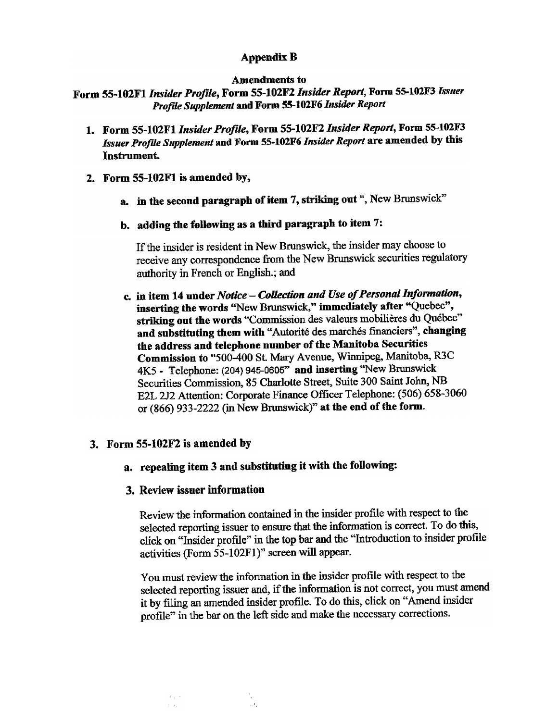## Appendix B

#### Amendments to

Form 55~102Fl Insider Profile, Form 55~102F2 Insider Report, Fonn 55-102F3 Issuer Profile Supplement and Form 55-102F6 Insider Report

- 1. Form 55-102Fl Insider Profile, Form 55-102F2 Insider Report, Form 55-102F3 Issuer Profile Supplement and Form 55-102F6 Insider Report are amended by this Instrument.
- 2. Form 55-102Fl is amended by,
	- a. in the second paragraph of item 7, striking out ", New Brunswick"
	- b. adding the following as a third paragraph to item  $7$ :

If the insider is resident in New Brunswick, the insider may choose to receive any correspondence from the New Brunswick securities regulatory authority in French or English.; and

c. in item 14 under Notice - Collection and Use of Personal Information, inserting the words "New Brunswick," immediately after "Quebec", striking out the words "Commission des valeurs mobilières du Québec" and substituting them with "Autorité des marchés financiers", changing the address and telephone number of the Manitoba Securities Commission to "500-400 St. Mary Avenue, Winnipeg, Manitoba, R3C 4K5 - Telephone: (204) 945-0605" and inserting '"New Brunswick Securities Commission, 85 Charlotte Street, Suite 300 Saint John, NB E2L 2J2 Attention: Corporate Finance Officer Telephone: (506) 658-3060 or  $(866)$  933-2222 (in New Brunswick)" at the end of the form.

## 3. Form 55-102F2 is amended by

 $\approx 10^{-1}$  $\sim 10^7$ 

a. repealing item 3 and substituting it with the following:

## 3. Review issuer information

Review the information contained in the insider profile with respect to the selected reporting issuer to ensure that the information is conect. To do this, click on "Insider profIle" in the top bar and the "Introduction to insider profile activities (Form 55-102F1)" screen will appear.

You must review the information in the insider profile with respect to the selected reporting issuer and, if the information is not correct, you must amend it by filing an amended insider profile. To do this, click on "Amend insider profile" in the bar on the left side and make the necessary corrections.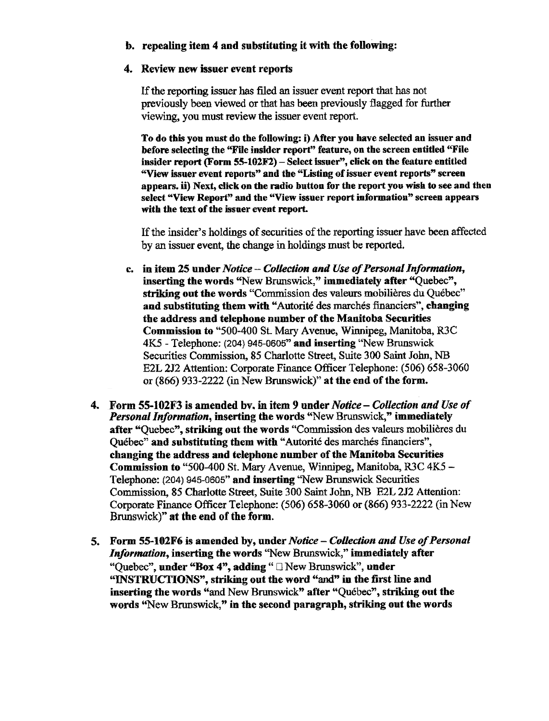## b. repealing item 4 and substituting it with the following:

#### 4. Review new issuer event reports

If the reporting issuer has filed an issuer event report that has not previously been viewed or that has been previously flagged for further viewing, you must review the issuer event report.

To do this you must do the following: i) Mter you have selected an issuer and before selecting the "File insider report" feature, on the screen entitled "File insider report (Form 55-102F2) - Select issuer", click on the feature entitled "View issuer event reports" and the "Listing of issuer event reports" screen appears, ii) Next, click on the radio button for the report you wish to see and then select "View Report" and the "View issuer report information" screen appears with the text of the issuer event report.

If the insider's holdings of securities of the reporting issuer have been affected by an issuer event, the change in holdings must be reported.

- c. in item 25 under Notice Collection and Use of Personal Information, inserting the words "New Brunswick," immediately after "Quebec", striking out the words "Commission des valeurs mobilières du Ouébec" and substituting them with "Autorité des marchés financiers", changing the address and telephone number of the Manitoba Securities Commission to "500-400 St. Mary Avenue, Winnipeg, Manitoba, R3C 4K5 - Telephone: (204) 945-0605" and inserting "New Brunswick Securities Commission, 85 Charlotte Street, Suite 300 Saint John, NB E2L 212 Attention: Corporate Finance Officer Telephone: (506) 658-3060 or (866) 933-2222 (in New Brunswick)" at the end of the form.
- 4. Form 55-102F3 is amended by, in item 9 under Notice Collection and Use of **Personal Information, inserting the words "New Brunswick," immediately** after "Quebec", striking out the words "Commission des valeurs mobilieres du Québec" and substituting them with "Autorité des marchés financiers", changing the address and telephone number of the Manitoba Securities Commission to "500-400 St. Mary Avenue, Winnipeg, Manitoba, R3C 4K5- Telephone: (204) 945-0605" and inserting "New Brunswick Securities Commission, 85 Charlotte Street, Suite 300 Saint John, NB E2L 2J2 Attention: Corporate Finance Officer Telephone: (506) 658-3060 or (866) 933-2222 (in New Brunswick)" at the end of the form.
- 5. Form 55-102F6 is amended by, under Notice Collection and Use of Personal Information, inserting the words "New Brunswick," immediately after "Ouebec", under "Box 4", adding "  $\Box$  New Brunswick", under "INSTRUCTIONS", striking out the word "and" in the tirst line and inserting the words "and New Brunswick" after "Quebec", striking out the words "New Brunswick," in the second paragraph, striking out the words